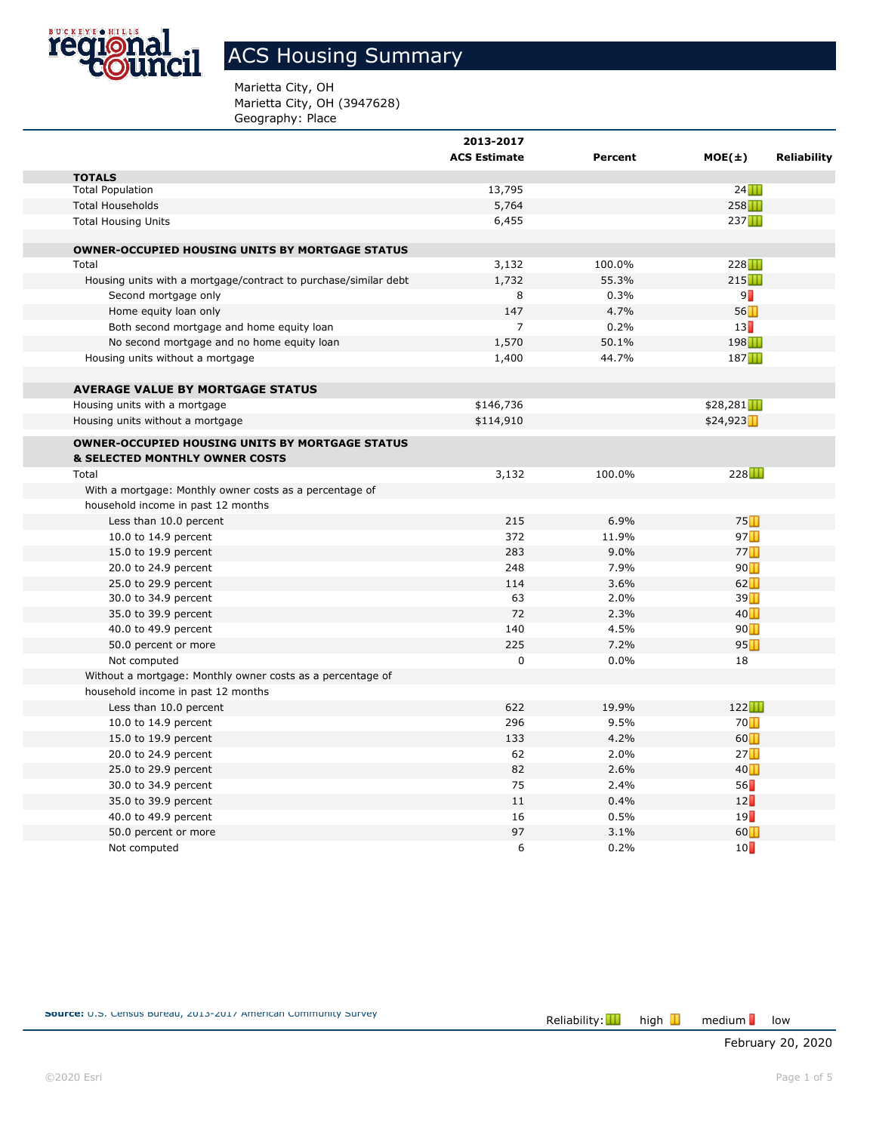

# ACS Housing Summary

Marietta City, OH Marietta City, OH (3947628) Geography: Place

|                                                                 | 2013-2017           |         |                                   |                    |
|-----------------------------------------------------------------|---------------------|---------|-----------------------------------|--------------------|
|                                                                 | <b>ACS Estimate</b> | Percent | $MOE(\pm)$                        | <b>Reliability</b> |
| <b>TOTALS</b>                                                   |                     |         |                                   |                    |
| <b>Total Population</b>                                         | 13,795              |         | 24                                |                    |
| <b>Total Households</b>                                         | 5,764               |         | 258                               |                    |
| <b>Total Housing Units</b>                                      | 6,455               |         | 237                               |                    |
| <b>OWNER-OCCUPIED HOUSING UNITS BY MORTGAGE STATUS</b>          |                     |         |                                   |                    |
| Total                                                           | 3,132               | 100.0%  | 228                               |                    |
| Housing units with a mortgage/contract to purchase/similar debt | 1,732               | 55.3%   | 215                               |                    |
| Second mortgage only                                            | 8                   | 0.3%    | 9∏                                |                    |
| Home equity loan only                                           | 147                 | 4.7%    | 56                                |                    |
| Both second mortgage and home equity loan                       | $\overline{7}$      | 0.2%    | 13                                |                    |
| No second mortgage and no home equity loan                      | 1,570               | 50.1%   | 198                               |                    |
| Housing units without a mortgage                                | 1,400               | 44.7%   | 187                               |                    |
| <b>AVERAGE VALUE BY MORTGAGE STATUS</b>                         |                     |         |                                   |                    |
| Housing units with a mortgage                                   | \$146,736           |         | \$28,281                          |                    |
| Housing units without a mortgage                                | \$114,910           |         | \$24,923                          |                    |
| <b>OWNER-OCCUPIED HOUSING UNITS BY MORTGAGE STATUS</b>          |                     |         |                                   |                    |
| <b>&amp; SELECTED MONTHLY OWNER COSTS</b>                       |                     |         |                                   |                    |
| Total                                                           | 3,132               | 100.0%  | 228                               |                    |
| With a mortgage: Monthly owner costs as a percentage of         |                     |         |                                   |                    |
| household income in past 12 months                              |                     |         |                                   |                    |
| Less than 10.0 percent                                          | 215                 | 6.9%    | 75                                |                    |
| 10.0 to 14.9 percent                                            | 372                 | 11.9%   | 97                                |                    |
| 15.0 to 19.9 percent                                            | 283                 | 9.0%    | 77                                |                    |
| 20.0 to 24.9 percent                                            | 248                 | 7.9%    | 90                                |                    |
| 25.0 to 29.9 percent                                            | 114                 | 3.6%    | 62                                |                    |
| 30.0 to 34.9 percent                                            | 63                  | 2.0%    | 39                                |                    |
| 35.0 to 39.9 percent                                            | 72                  | 2.3%    | 40                                |                    |
| 40.0 to 49.9 percent                                            | 140                 | 4.5%    | 90                                |                    |
| 50.0 percent or more                                            | 225                 | 7.2%    | 95                                |                    |
| Not computed                                                    | 0                   | 0.0%    | 18                                |                    |
| Without a mortgage: Monthly owner costs as a percentage of      |                     |         |                                   |                    |
| household income in past 12 months                              |                     |         |                                   |                    |
| Less than 10.0 percent                                          | 622                 | 19.9%   | 122                               |                    |
| 10.0 to 14.9 percent                                            | 296                 | 9.5%    | 70                                |                    |
| 15.0 to 19.9 percent                                            | 133                 | 4.2%    | 60                                |                    |
| 20.0 to 24.9 percent                                            | 62                  | 2.0%    | 27                                |                    |
| 25.0 to 29.9 percent                                            | 82                  | 2.6%    | 40                                |                    |
| 30.0 to 34.9 percent                                            | 75                  | 2.4%    | 56                                |                    |
| 35.0 to 39.9 percent                                            | 11                  | 0.4%    | 12                                |                    |
| 40.0 to 49.9 percent                                            | 16                  | 0.5%    | 19                                |                    |
| 50.0 percent or more                                            | 97                  | 3.1%    | $60$ <sup><math>\Box</math></sup> |                    |
| Not computed                                                    | 6                   | 0.2%    | 10                                |                    |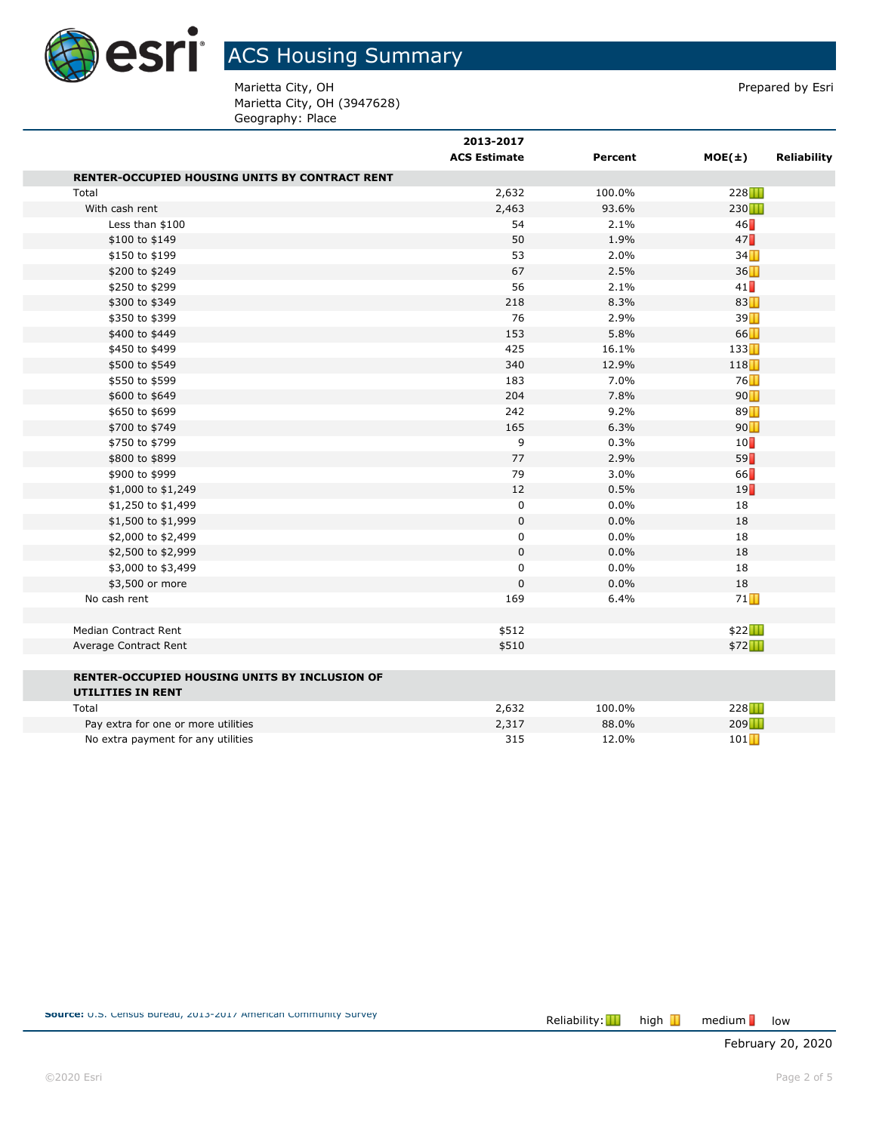

Marietta City, OH **Prepared by Esri** Marietta City, OH (3947628) Geography: Place

| <b>ACS Estimate</b> | Percent                     | $MOE(\pm)$ | <b>Reliability</b> |
|---------------------|-----------------------------|------------|--------------------|
|                     |                             |            |                    |
| 2,632               | 100.0%                      | 228        |                    |
| 2,463               | 93.6%                       | 230        |                    |
| 54                  | 2.1%                        | 46         |                    |
| 50                  | 1.9%                        | 47         |                    |
| 53                  | 2.0%                        | 34         |                    |
| 67                  | 2.5%                        | 36         |                    |
| 56                  | 2.1%                        | 41         |                    |
| 218                 | 8.3%                        | 83         |                    |
| 76                  | 2.9%                        | 39         |                    |
| 153                 | 5.8%                        | 66         |                    |
| 425                 | 16.1%                       | 133        |                    |
| 340                 | 12.9%                       | 118        |                    |
| 183                 | 7.0%                        | 76         |                    |
| 204                 | 7.8%                        | 90         |                    |
| 242                 | 9.2%                        | 89         |                    |
| 165                 | 6.3%                        | 90         |                    |
| 9                   | 0.3%                        | 10         |                    |
| 77                  | 2.9%                        | 59         |                    |
| 79                  | 3.0%                        | 66         |                    |
| 12                  | 0.5%                        | 19         |                    |
| 0                   | 0.0%                        | 18         |                    |
| $\pmb{0}$           | 0.0%                        | 18         |                    |
| 0                   | 0.0%                        | 18         |                    |
| $\boldsymbol{0}$    | 0.0%                        | 18         |                    |
| $\mathbf 0$         | 0.0%                        | 18         |                    |
| $\mathbf 0$         | 0.0%                        | 18         |                    |
| 169                 | 6.4%                        | 71         |                    |
|                     |                             |            |                    |
|                     |                             |            |                    |
|                     |                             |            |                    |
|                     |                             |            |                    |
|                     |                             |            |                    |
| 2,632               | 100.0%                      | 228        |                    |
| 2,317               | 88.0%                       | 209        |                    |
| 315                 | 12.0%                       | 101        |                    |
|                     | 2013-2017<br>\$512<br>\$510 |            | \$22<br>\$72       |

**Source:** U.S. Census Bureau, 2013-2017 American Community Survey Reliability: **Reliability: Reliability:** high **T** 

 $median$  low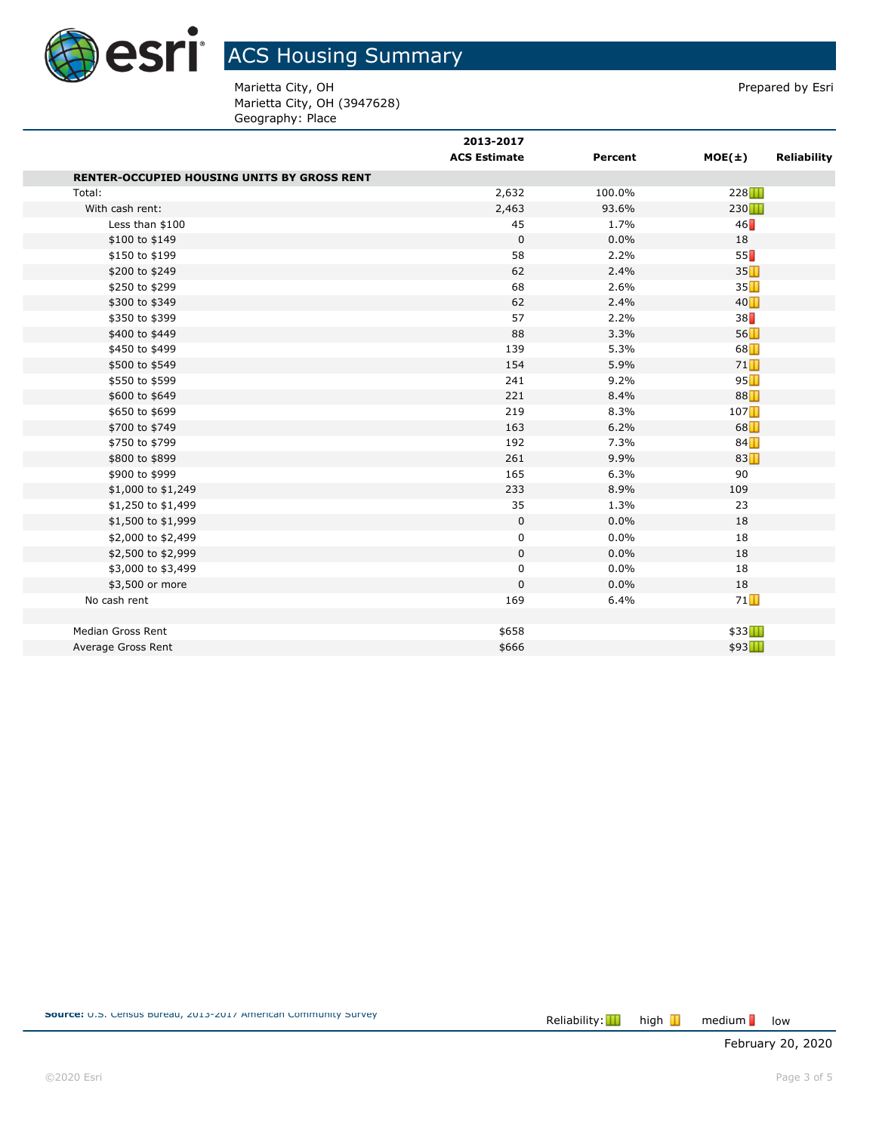

Marietta City, OH **Prepared by Esri** Marietta City, OH (3947628) Geography: Place

|                                                    | 2013-2017<br><b>ACS Estimate</b> | Percent | $MOE(\pm)$ | <b>Reliability</b> |
|----------------------------------------------------|----------------------------------|---------|------------|--------------------|
|                                                    |                                  |         |            |                    |
| <b>RENTER-OCCUPIED HOUSING UNITS BY GROSS RENT</b> |                                  |         |            |                    |
| Total:                                             | 2,632                            | 100.0%  | 228        |                    |
| With cash rent:                                    | 2,463                            | 93.6%   | 230        |                    |
| Less than \$100                                    | 45                               | 1.7%    | 46         |                    |
| \$100 to \$149                                     | $\mathbf 0$                      | 0.0%    | 18         |                    |
| \$150 to \$199                                     | 58                               | 2.2%    | 55         |                    |
| \$200 to \$249                                     | 62                               | 2.4%    | 35         |                    |
| \$250 to \$299                                     | 68                               | 2.6%    | 35         |                    |
| \$300 to \$349                                     | 62                               | 2.4%    | 40         |                    |
| \$350 to \$399                                     | 57                               | 2.2%    | 38         |                    |
| \$400 to \$449                                     | 88                               | 3.3%    | 56         |                    |
| \$450 to \$499                                     | 139                              | 5.3%    | 68         |                    |
| \$500 to \$549                                     | 154                              | 5.9%    | 71         |                    |
| \$550 to \$599                                     | 241                              | 9.2%    | 95         |                    |
| \$600 to \$649                                     | 221                              | 8.4%    | 88         |                    |
| \$650 to \$699                                     | 219                              | 8.3%    | 107        |                    |
| \$700 to \$749                                     | 163                              | 6.2%    | 68         |                    |
| \$750 to \$799                                     | 192                              | 7.3%    | 84         |                    |
| \$800 to \$899                                     | 261                              | 9.9%    | 83         |                    |
| \$900 to \$999                                     | 165                              | 6.3%    | 90         |                    |
| \$1,000 to \$1,249                                 | 233                              | 8.9%    | 109        |                    |
| \$1,250 to \$1,499                                 | 35                               | 1.3%    | 23         |                    |
| \$1,500 to \$1,999                                 | 0                                | 0.0%    | 18         |                    |
| \$2,000 to \$2,499                                 | 0                                | 0.0%    | 18         |                    |
| \$2,500 to \$2,999                                 | 0                                | 0.0%    | 18         |                    |
| \$3,000 to \$3,499                                 | 0                                | $0.0\%$ | 18         |                    |
| \$3,500 or more                                    | 0                                | 0.0%    | 18         |                    |
| No cash rent                                       | 169                              | 6.4%    | 71         |                    |
|                                                    |                                  |         |            |                    |
| Median Gross Rent                                  | \$658                            |         | \$33       |                    |
| Average Gross Rent                                 | \$666                            |         | \$93Ⅰ      |                    |

medium low

February 20, 2020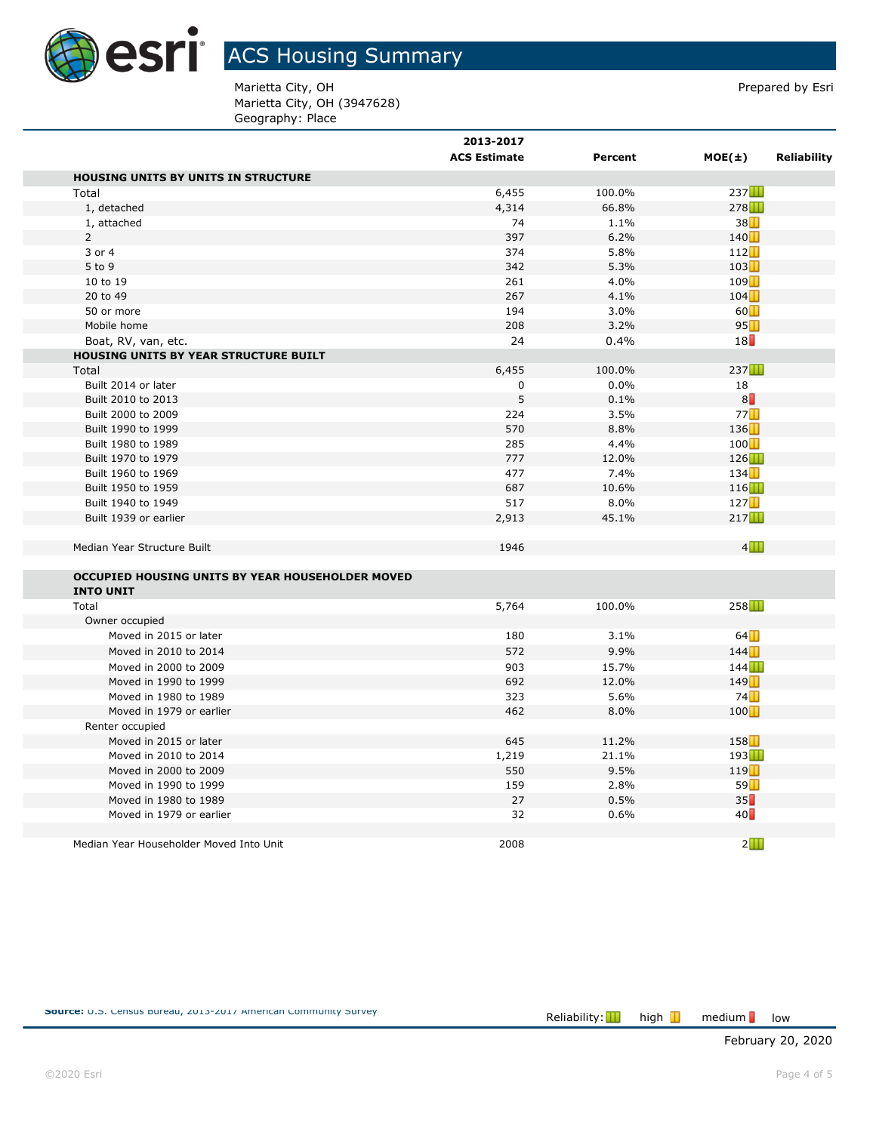

Marietta City, OH **Prepared by Esri** Marietta City, OH (3947628) Geography: Place

|                                                  | 2013-2017<br><b>ACS Estimate</b> | Percent | $MOE(\pm)$<br><b>Reliability</b> |
|--------------------------------------------------|----------------------------------|---------|----------------------------------|
| <b>HOUSING UNITS BY UNITS IN STRUCTURE</b>       |                                  |         |                                  |
| Total                                            | 6,455                            | 100.0%  | 237                              |
| 1, detached                                      | 4,314                            | 66.8%   | 278                              |
| 1, attached                                      | 74                               | 1.1%    | 38                               |
| $\overline{2}$                                   | 397                              | 6.2%    | 140                              |
| 3 or 4                                           | 374                              | 5.8%    | 112                              |
| 5 to 9                                           | 342                              | 5.3%    | 103                              |
| 10 to 19                                         | 261                              | 4.0%    | 109                              |
| 20 to 49                                         | 267                              | 4.1%    | 104                              |
| 50 or more                                       | 194                              | 3.0%    | 60                               |
| Mobile home                                      | 208                              | 3.2%    | 95                               |
| Boat, RV, van, etc.                              | 24                               | 0.4%    | 18                               |
| <b>HOUSING UNITS BY YEAR STRUCTURE BUILT</b>     |                                  |         |                                  |
| Total                                            | 6,455                            | 100.0%  | 237                              |
| Built 2014 or later                              | $\mathbf 0$                      | 0.0%    | 18                               |
| Built 2010 to 2013                               | 5                                | 0.1%    | $8\Box$                          |
| Built 2000 to 2009                               | 224                              | 3.5%    | 77                               |
| Built 1990 to 1999                               | 570                              | 8.8%    | 136                              |
| Built 1980 to 1989                               | 285                              | 4.4%    | 100                              |
| Built 1970 to 1979                               | 777                              | 12.0%   | 126                              |
| Built 1960 to 1969                               | 477                              | 7.4%    | 134                              |
| Built 1950 to 1959                               | 687                              | 10.6%   | 116                              |
| Built 1940 to 1949                               | 517                              | 8.0%    | 127                              |
| Built 1939 or earlier                            | 2,913                            | 45.1%   | 217                              |
|                                                  |                                  |         |                                  |
| Median Year Structure Built                      | 1946                             |         | 4                                |
| OCCUPIED HOUSING UNITS BY YEAR HOUSEHOLDER MOVED |                                  |         |                                  |
| <b>INTO UNIT</b>                                 |                                  |         |                                  |
| Total                                            | 5,764                            | 100.0%  | 258                              |
| Owner occupied                                   |                                  |         |                                  |
| Moved in 2015 or later                           | 180                              | 3.1%    | 64                               |
| Moved in 2010 to 2014                            | 572                              | 9.9%    | 144                              |
| Moved in 2000 to 2009                            | 903                              | 15.7%   | 144                              |
| Moved in 1990 to 1999                            | 692                              | 12.0%   | 149                              |
| Moved in 1980 to 1989                            | 323                              | 5.6%    | 74                               |
| Moved in 1979 or earlier                         | 462                              | 8.0%    | 100                              |
| Renter occupied                                  |                                  |         |                                  |
| Moved in 2015 or later                           | 645                              | 11.2%   | 158                              |
| Moved in 2010 to 2014                            | 1,219                            | 21.1%   | 193                              |
| Moved in 2000 to 2009                            | 550                              | 9.5%    | 119                              |
| Moved in 1990 to 1999                            | 159                              | 2.8%    | 59                               |
| Moved in 1980 to 1989                            | 27                               | 0.5%    | 35                               |
| Moved in 1979 or earlier                         | 32                               | 0.6%    | 40                               |
|                                                  |                                  |         |                                  |
| Median Year Householder Moved Into Unit          | 2008                             |         | $2$ $\Box$                       |

medium low